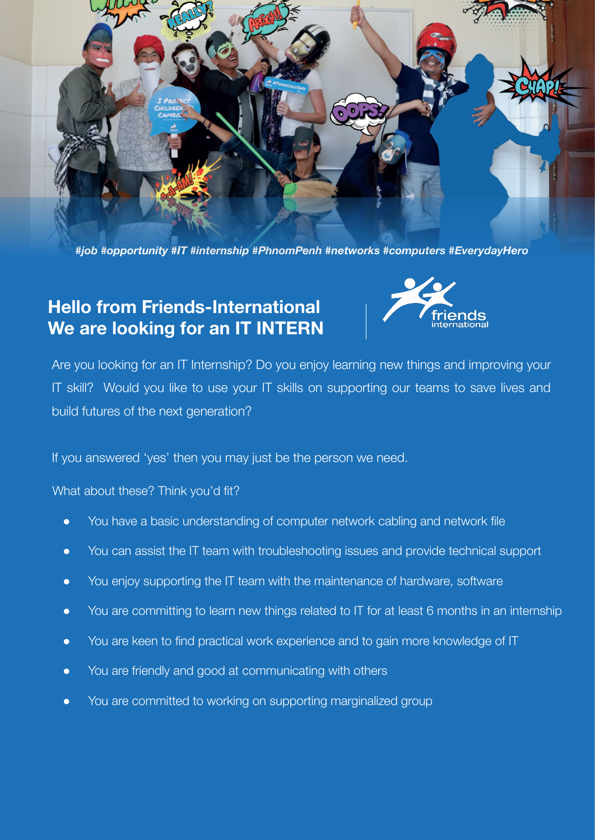

*#job #opportunity #IT #internship #PhnomPenh #networks #computers #EverydayHero*

## **Hello from Friends-International We are looking for an IT INTERN**



Are you looking for an IT Internship? Do you enjoy learning new things and improving your IT skill? Would you like to use your IT skills on supporting our teams to save lives and build futures of the next generation?

If you answered 'yes' then you may just be the person we need.

What about these? Think you'd fit?

- You have a basic understanding of computer network cabling and network file
- You can assist the IT team with troubleshooting issues and provide technical support
- You enjoy supporting the IT team with the maintenance of hardware, software
- You are committing to learn new things related to IT for at least 6 months in an internship
- You are keen to find practical work experience and to gain more knowledge of IT
- You are friendly and good at communicating with others
- You are committed to working on supporting marginalized group